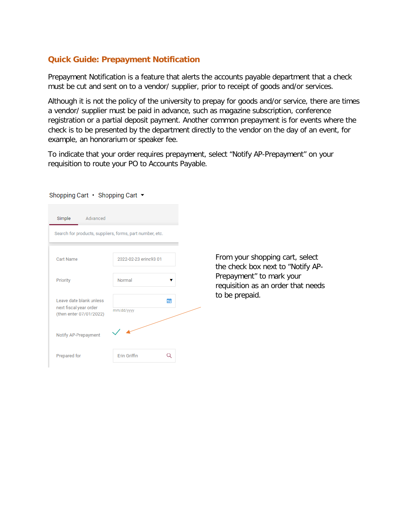## **Quick Guide: Prepayment Notification**

Prepayment Notification is a feature that alerts the accounts payable department that a check must be cut and sent on to a vendor/ supplier, prior to receipt of goods and/or services.

Although it is not the policy of the university to prepay for goods and/or service, there are times a vendor/ supplier must be paid in advance, such as magazine subscription, conference registration or a partial deposit payment. Another common prepayment is for events where the check is to be presented by the department directly to the vendor on the day of an event, for example, an honorarium or speaker fee.

To indicate that your order requires prepayment, select "Notify AP-Prepayment" on your requisition to route your PO to Accounts Payable.

| Advanced<br>Simple                                                           |                                                          |
|------------------------------------------------------------------------------|----------------------------------------------------------|
|                                                                              | Search for products, suppliers, forms, part number, etc. |
| Cart Name                                                                    | 2022-02-23 erinc93 01                                    |
| Priority                                                                     | Normal                                                   |
| Leave date blank unless<br>next fiscal year order<br>(then enter 07/01/2022) | 繭<br>mm/dd/yyyy                                          |
| Notify AP-Prepayment                                                         |                                                          |
| Prepared for                                                                 | Frin Griffin                                             |

Shopping Cart • Shopping Cart ▼

From your shopping cart, select the check box next to "Notify AP-Prepayment" to mark your requisition as an order that needs to be prepaid.